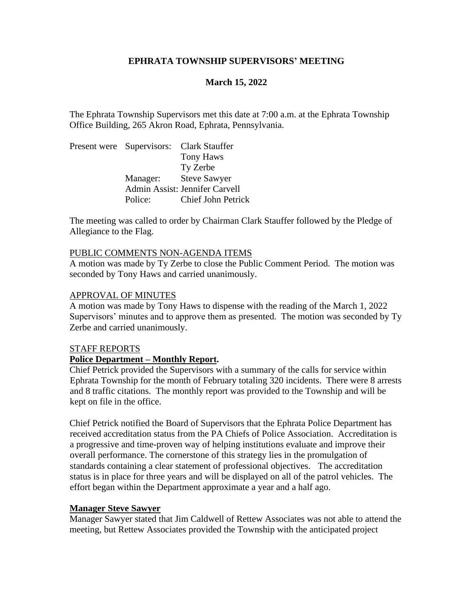### **EPHRATA TOWNSHIP SUPERVISORS' MEETING**

### **March 15, 2022**

The Ephrata Township Supervisors met this date at 7:00 a.m. at the Ephrata Township Office Building, 265 Akron Road, Ephrata, Pennsylvania.

Present were Supervisors: Clark Stauffer Tony Haws Ty Zerbe Manager: Steve Sawyer Admin Assist: Jennifer Carvell Police: Chief John Petrick

The meeting was called to order by Chairman Clark Stauffer followed by the Pledge of Allegiance to the Flag.

### PUBLIC COMMENTS NON-AGENDA ITEMS

A motion was made by Ty Zerbe to close the Public Comment Period. The motion was seconded by Tony Haws and carried unanimously.

### APPROVAL OF MINUTES

A motion was made by Tony Haws to dispense with the reading of the March 1, 2022 Supervisors' minutes and to approve them as presented. The motion was seconded by Ty Zerbe and carried unanimously.

#### STAFF REPORTS

### **Police Department – Monthly Report.**

Chief Petrick provided the Supervisors with a summary of the calls for service within Ephrata Township for the month of February totaling 320 incidents. There were 8 arrests and 8 traffic citations. The monthly report was provided to the Township and will be kept on file in the office.

Chief Petrick notified the Board of Supervisors that the Ephrata Police Department has received accreditation status from the PA Chiefs of Police Association. Accreditation is a progressive and time-proven way of helping institutions evaluate and improve their overall performance. The cornerstone of this strategy lies in the promulgation of standards containing a clear statement of professional objectives. The accreditation status is in place for three years and will be displayed on all of the patrol vehicles. The effort began within the Department approximate a year and a half ago.

#### **Manager Steve Sawyer**

Manager Sawyer stated that Jim Caldwell of Rettew Associates was not able to attend the meeting, but Rettew Associates provided the Township with the anticipated project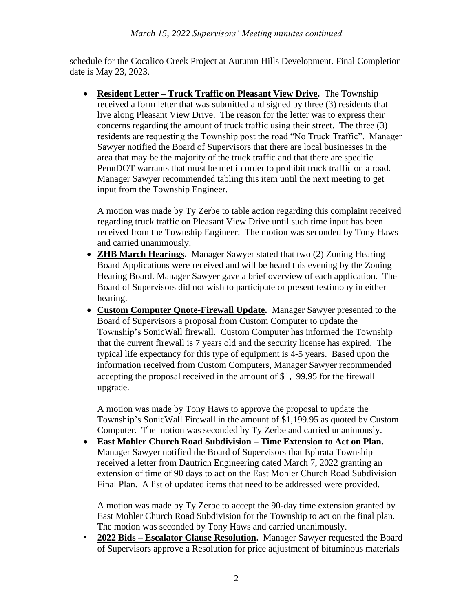schedule for the Cocalico Creek Project at Autumn Hills Development. Final Completion date is May 23, 2023.

• **Resident Letter – Truck Traffic on Pleasant View Drive.** The Township received a form letter that was submitted and signed by three (3) residents that live along Pleasant View Drive. The reason for the letter was to express their concerns regarding the amount of truck traffic using their street. The three (3) residents are requesting the Township post the road "No Truck Traffic". Manager Sawyer notified the Board of Supervisors that there are local businesses in the area that may be the majority of the truck traffic and that there are specific PennDOT warrants that must be met in order to prohibit truck traffic on a road. Manager Sawyer recommended tabling this item until the next meeting to get input from the Township Engineer.

A motion was made by Ty Zerbe to table action regarding this complaint received regarding truck traffic on Pleasant View Drive until such time input has been received from the Township Engineer. The motion was seconded by Tony Haws and carried unanimously.

- **ZHB March Hearings.** Manager Sawyer stated that two (2) Zoning Hearing Board Applications were received and will be heard this evening by the Zoning Hearing Board. Manager Sawyer gave a brief overview of each application. The Board of Supervisors did not wish to participate or present testimony in either hearing.
- **Custom Computer Quote-Firewall Update.** Manager Sawyer presented to the Board of Supervisors a proposal from Custom Computer to update the Township's SonicWall firewall. Custom Computer has informed the Township that the current firewall is 7 years old and the security license has expired. The typical life expectancy for this type of equipment is 4-5 years. Based upon the information received from Custom Computers, Manager Sawyer recommended accepting the proposal received in the amount of \$1,199.95 for the firewall upgrade.

A motion was made by Tony Haws to approve the proposal to update the Township's SonicWall Firewall in the amount of \$1,199.95 as quoted by Custom Computer. The motion was seconded by Ty Zerbe and carried unanimously.

• **East Mohler Church Road Subdivision – Time Extension to Act on Plan.**  Manager Sawyer notified the Board of Supervisors that Ephrata Township received a letter from Dautrich Engineering dated March 7, 2022 granting an extension of time of 90 days to act on the East Mohler Church Road Subdivision Final Plan. A list of updated items that need to be addressed were provided.

A motion was made by Ty Zerbe to accept the 90-day time extension granted by East Mohler Church Road Subdivision for the Township to act on the final plan. The motion was seconded by Tony Haws and carried unanimously.

• **2022 Bids – Escalator Clause Resolution.** Manager Sawyer requested the Board of Supervisors approve a Resolution for price adjustment of bituminous materials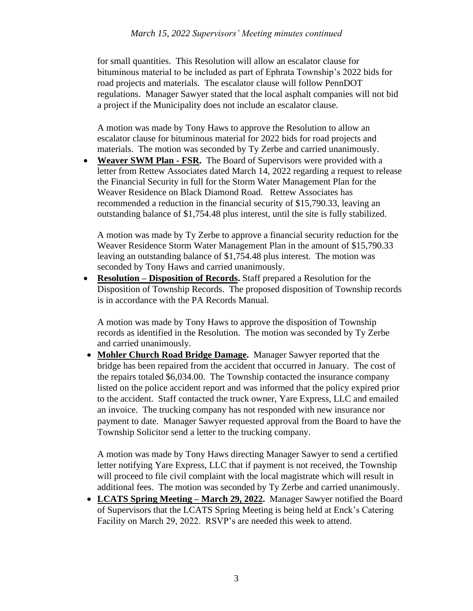for small quantities. This Resolution will allow an escalator clause for bituminous material to be included as part of Ephrata Township's 2022 bids for road projects and materials. The escalator clause will follow PennDOT regulations. Manager Sawyer stated that the local asphalt companies will not bid a project if the Municipality does not include an escalator clause.

A motion was made by Tony Haws to approve the Resolution to allow an escalator clause for bituminous material for 2022 bids for road projects and materials. The motion was seconded by Ty Zerbe and carried unanimously.

• **Weaver SWM Plan - FSR.** The Board of Supervisors were provided with a letter from Rettew Associates dated March 14, 2022 regarding a request to release the Financial Security in full for the Storm Water Management Plan for the Weaver Residence on Black Diamond Road. Rettew Associates has recommended a reduction in the financial security of \$15,790.33, leaving an outstanding balance of \$1,754.48 plus interest, until the site is fully stabilized.

A motion was made by Ty Zerbe to approve a financial security reduction for the Weaver Residence Storm Water Management Plan in the amount of \$15,790.33 leaving an outstanding balance of \$1,754.48 plus interest. The motion was seconded by Tony Haws and carried unanimously.

• **Resolution – Disposition of Records.** Staff prepared a Resolution for the Disposition of Township Records. The proposed disposition of Township records is in accordance with the PA Records Manual.

A motion was made by Tony Haws to approve the disposition of Township records as identified in the Resolution. The motion was seconded by Ty Zerbe and carried unanimously.

• **Mohler Church Road Bridge Damage.** Manager Sawyer reported that the bridge has been repaired from the accident that occurred in January. The cost of the repairs totaled \$6,034.00. The Township contacted the insurance company listed on the police accident report and was informed that the policy expired prior to the accident. Staff contacted the truck owner, Yare Express, LLC and emailed an invoice. The trucking company has not responded with new insurance nor payment to date. Manager Sawyer requested approval from the Board to have the Township Solicitor send a letter to the trucking company.

A motion was made by Tony Haws directing Manager Sawyer to send a certified letter notifying Yare Express, LLC that if payment is not received, the Township will proceed to file civil complaint with the local magistrate which will result in additional fees. The motion was seconded by Ty Zerbe and carried unanimously.

• **LCATS Spring Meeting – March 29, 2022.** Manager Sawyer notified the Board of Supervisors that the LCATS Spring Meeting is being held at Enck's Catering Facility on March 29, 2022. RSVP's are needed this week to attend.